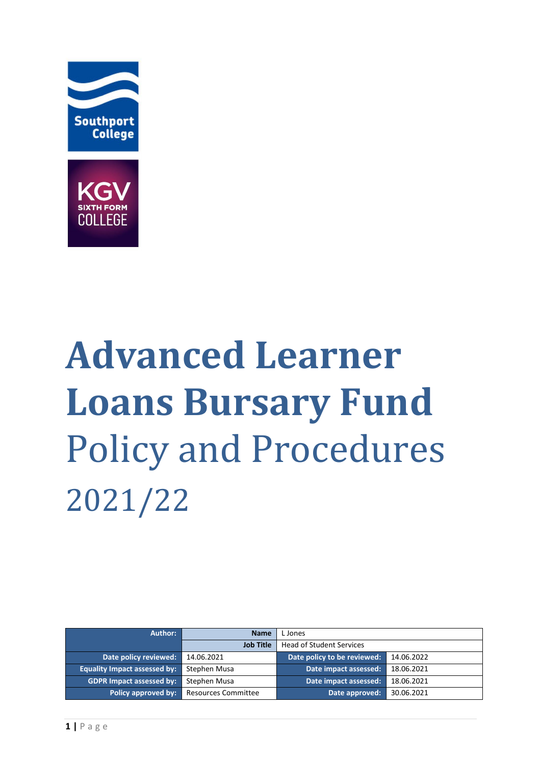



# **Advanced Learner Loans Bursary Fund**  Policy and Procedures 2021/22

| Author:                             | <b>Name</b>                | L Jones                     |            |
|-------------------------------------|----------------------------|-----------------------------|------------|
|                                     | <b>Job Title</b>           | Head of Student Services    |            |
| Date policy reviewed:               | 14.06.2021                 | Date policy to be reviewed: | 14.06.2022 |
| <b>Equality Impact assessed by:</b> | Stephen Musa               | Date impact assessed:       | 18.06.2021 |
| <b>GDPR Impact assessed by:</b>     | Stephen Musa               | Date impact assessed:       | 18.06.2021 |
| Policy approved by:                 | <b>Resources Committee</b> | Date approved:              | 30.06.2021 |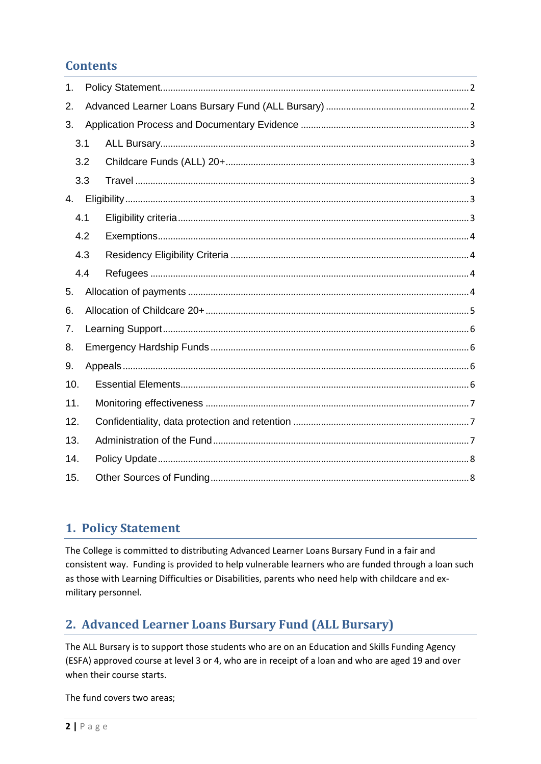## **Contents**

| 1.  |     |  |  |  |
|-----|-----|--|--|--|
| 2.  |     |  |  |  |
| 3.  |     |  |  |  |
|     | 3.1 |  |  |  |
|     | 3.2 |  |  |  |
|     | 3.3 |  |  |  |
| 4.  |     |  |  |  |
|     | 4.1 |  |  |  |
|     | 4.2 |  |  |  |
|     | 4.3 |  |  |  |
|     | 4.4 |  |  |  |
| 5.  |     |  |  |  |
| 6.  |     |  |  |  |
| 7.  |     |  |  |  |
| 8.  |     |  |  |  |
| 9.  |     |  |  |  |
| 10. |     |  |  |  |
| 11. |     |  |  |  |
| 12. |     |  |  |  |
| 13. |     |  |  |  |
| 14. |     |  |  |  |
| 15. |     |  |  |  |

## <span id="page-1-0"></span>1. Policy Statement

The College is committed to distributing Advanced Learner Loans Bursary Fund in a fair and consistent way. Funding is provided to help vulnerable learners who are funded through a loan such as those with Learning Difficulties or Disabilities, parents who need help with childcare and exmilitary personnel.

## <span id="page-1-1"></span>2. Advanced Learner Loans Bursary Fund (ALL Bursary)

The ALL Bursary is to support those students who are on an Education and Skills Funding Agency (ESFA) approved course at level 3 or 4, who are in receipt of a loan and who are aged 19 and over when their course starts.

The fund covers two areas;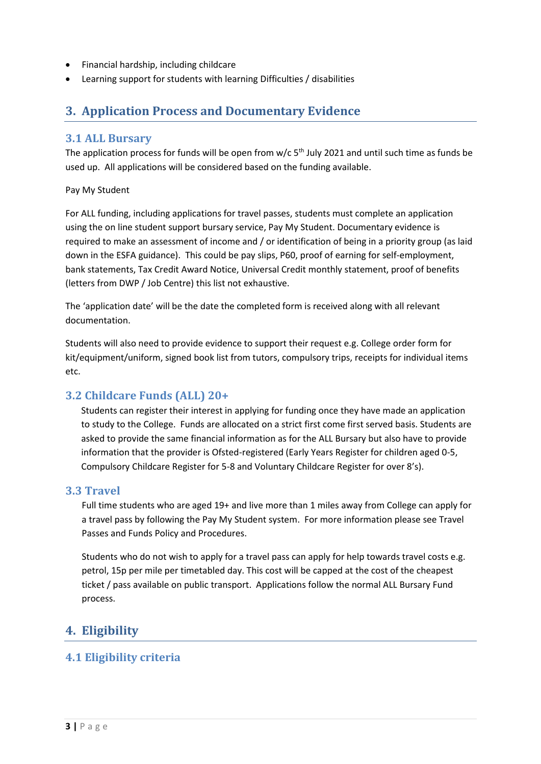- Financial hardship, including childcare
- Learning support for students with learning Difficulties / disabilities

## <span id="page-2-0"></span>**3. Application Process and Documentary Evidence**

#### <span id="page-2-1"></span>**3.1 ALL Bursary**

The application process for funds will be open from  $w/c$  5<sup>th</sup> July 2021 and until such time as funds be used up. All applications will be considered based on the funding available.

#### Pay My Student

For ALL funding, including applications for travel passes, students must complete an application using the on line student support bursary service, Pay My Student. Documentary evidence is required to make an assessment of income and / or identification of being in a priority group (as laid down in the ESFA guidance). This could be pay slips, P60, proof of earning for self-employment, bank statements, Tax Credit Award Notice, Universal Credit monthly statement, proof of benefits (letters from DWP / Job Centre) this list not exhaustive.

The 'application date' will be the date the completed form is received along with all relevant documentation.

Students will also need to provide evidence to support their request e.g. College order form for kit/equipment/uniform, signed book list from tutors, compulsory trips, receipts for individual items etc.

## <span id="page-2-2"></span>**3.2 Childcare Funds (ALL) 20+**

Students can register their interest in applying for funding once they have made an application to study to the College. Funds are allocated on a strict first come first served basis. Students are asked to provide the same financial information as for the ALL Bursary but also have to provide information that the provider is Ofsted-registered (Early Years Register for children aged 0-5, Compulsory Childcare Register for 5-8 and Voluntary Childcare Register for over 8's).

#### <span id="page-2-3"></span>**3.3 Travel**

Full time students who are aged 19+ and live more than 1 miles away from College can apply for a travel pass by following the Pay My Student system. For more information please see Travel Passes and Funds Policy and Procedures.

Students who do not wish to apply for a travel pass can apply for help towards travel costs e.g. petrol, 15p per mile per timetabled day. This cost will be capped at the cost of the cheapest ticket / pass available on public transport. Applications follow the normal ALL Bursary Fund process.

## <span id="page-2-4"></span>**4. Eligibility**

## <span id="page-2-5"></span>**4.1 Eligibility criteria**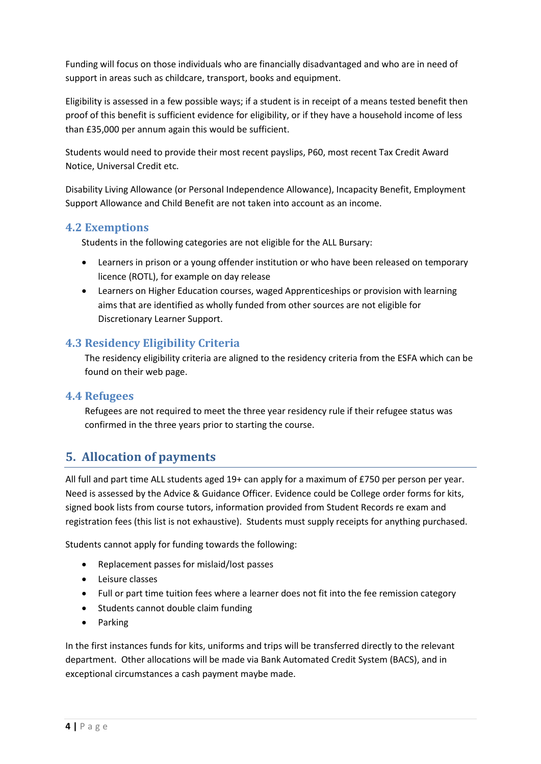Funding will focus on those individuals who are financially disadvantaged and who are in need of support in areas such as childcare, transport, books and equipment.

Eligibility is assessed in a few possible ways; if a student is in receipt of a means tested benefit then proof of this benefit is sufficient evidence for eligibility, or if they have a household income of less than £35,000 per annum again this would be sufficient.

Students would need to provide their most recent payslips, P60, most recent Tax Credit Award Notice, Universal Credit etc.

Disability Living Allowance (or Personal Independence Allowance), Incapacity Benefit, Employment Support Allowance and Child Benefit are not taken into account as an income.

#### <span id="page-3-0"></span>**4.2 Exemptions**

Students in the following categories are not eligible for the ALL Bursary:

- Learners in prison or a young offender institution or who have been released on temporary licence (ROTL), for example on day release
- Learners on Higher Education courses, waged Apprenticeships or provision with learning aims that are identified as wholly funded from other sources are not eligible for Discretionary Learner Support.

#### <span id="page-3-1"></span>**4.3 Residency Eligibility Criteria**

The residency eligibility criteria are aligned to the residency criteria from the ESFA which can be found on their web page.

#### <span id="page-3-2"></span>**4.4 Refugees**

Refugees are not required to meet the three year residency rule if their refugee status was confirmed in the three years prior to starting the course.

## <span id="page-3-3"></span>**5. Allocation of payments**

All full and part time ALL students aged 19+ can apply for a maximum of £750 per person per year. Need is assessed by the Advice & Guidance Officer. Evidence could be College order forms for kits, signed book lists from course tutors, information provided from Student Records re exam and registration fees (this list is not exhaustive). Students must supply receipts for anything purchased.

Students cannot apply for funding towards the following:

- Replacement passes for mislaid/lost passes
- Leisure classes
- Full or part time tuition fees where a learner does not fit into the fee remission category
- Students cannot double claim funding
- Parking

In the first instances funds for kits, uniforms and trips will be transferred directly to the relevant department. Other allocations will be made via Bank Automated Credit System (BACS), and in exceptional circumstances a cash payment maybe made.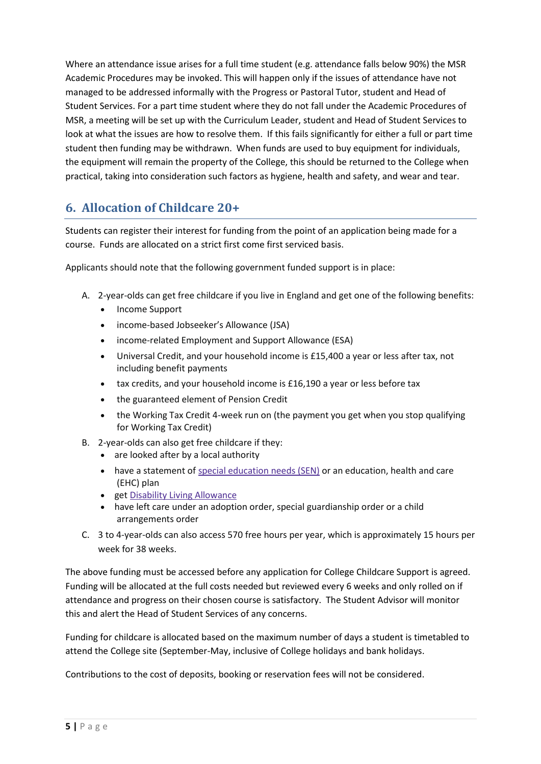Where an attendance issue arises for a full time student (e.g. attendance falls below 90%) the MSR Academic Procedures may be invoked. This will happen only if the issues of attendance have not managed to be addressed informally with the Progress or Pastoral Tutor, student and Head of Student Services. For a part time student where they do not fall under the Academic Procedures of MSR, a meeting will be set up with the Curriculum Leader, student and Head of Student Services to look at what the issues are how to resolve them. If this fails significantly for either a full or part time student then funding may be withdrawn. When funds are used to buy equipment for individuals, the equipment will remain the property of the College, this should be returned to the College when practical, taking into consideration such factors as hygiene, health and safety, and wear and tear.

## <span id="page-4-0"></span>**6. Allocation of Childcare 20+**

Students can register their interest for funding from the point of an application being made for a course. Funds are allocated on a strict first come first serviced basis.

Applicants should note that the following government funded support is in place:

- A. 2-year-olds can get free childcare if you live in England and get one of the following benefits:
	- Income Support
	- income-based Jobseeker's Allowance (JSA)
	- income-related Employment and Support Allowance (ESA)
	- Universal Credit, and your household income is £15,400 a year or less after tax, not including benefit payments
	- tax credits, and your household income is £16,190 a year or less before tax
	- the guaranteed element of Pension Credit
	- the Working Tax Credit 4-week run on (the payment you get when you stop qualifying for Working Tax Credit)
- B. 2-year-olds can also get free childcare if they:
	- are looked after by a local authority
	- have a statement of special [education](https://www.gov.uk/children-with-special-educational-needs) needs (SEN) or an education, health and care (EHC) plan
	- get Disability Living [Allowance](https://www.gov.uk/disability-living-allowance-children)
	- have left care under an adoption order, special guardianship order or a child arrangements order
- C. 3 to 4-year-olds can also access 570 free hours per year, which is approximately 15 hours per week for 38 weeks.

The above funding must be accessed before any application for College Childcare Support is agreed. Funding will be allocated at the full costs needed but reviewed every 6 weeks and only rolled on if attendance and progress on their chosen course is satisfactory. The Student Advisor will monitor this and alert the Head of Student Services of any concerns.

Funding for childcare is allocated based on the maximum number of days a student is timetabled to attend the College site (September-May, inclusive of College holidays and bank holidays.

Contributions to the cost of deposits, booking or reservation fees will not be considered.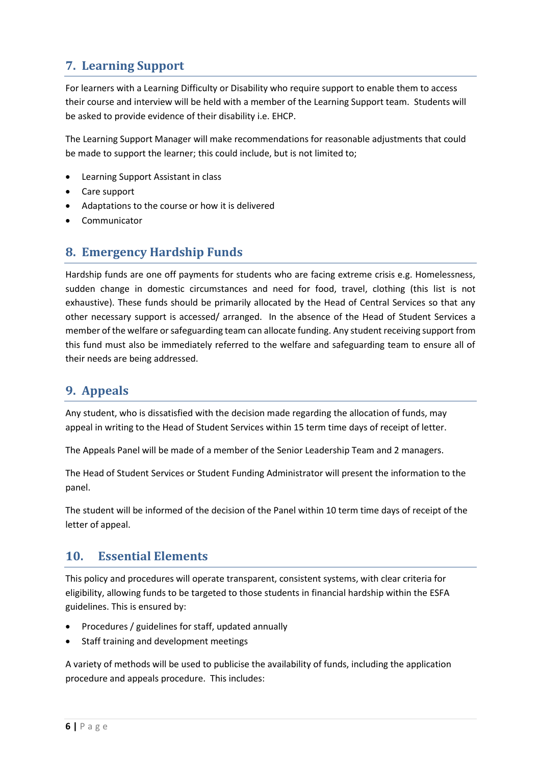# <span id="page-5-0"></span>**7. Learning Support**

For learners with a Learning Difficulty or Disability who require support to enable them to access their course and interview will be held with a member of the Learning Support team. Students will be asked to provide evidence of their disability i.e. EHCP.

The Learning Support Manager will make recommendations for reasonable adjustments that could be made to support the learner; this could include, but is not limited to;

- Learning Support Assistant in class
- Care support
- Adaptations to the course or how it is delivered
- Communicator

## <span id="page-5-1"></span>**8. Emergency Hardship Funds**

<span id="page-5-2"></span>Hardship funds are one off payments for students who are facing extreme crisis e.g. Homelessness, sudden change in domestic circumstances and need for food, travel, clothing (this list is not exhaustive). These funds should be primarily allocated by the Head of Central Services so that any other necessary support is accessed/ arranged. In the absence of the Head of Student Services a member of the welfare or safeguarding team can allocate funding. Any student receiving support from this fund must also be immediately referred to the welfare and safeguarding team to ensure all of their needs are being addressed.

## **9. Appeals**

Any student, who is dissatisfied with the decision made regarding the allocation of funds, may appeal in writing to the Head of Student Services within 15 term time days of receipt of letter.

The Appeals Panel will be made of a member of the Senior Leadership Team and 2 managers.

The Head of Student Services or Student Funding Administrator will present the information to the panel.

The student will be informed of the decision of the Panel within 10 term time days of receipt of the letter of appeal.

## <span id="page-5-3"></span>**10. Essential Elements**

This policy and procedures will operate transparent, consistent systems, with clear criteria for eligibility, allowing funds to be targeted to those students in financial hardship within the ESFA guidelines. This is ensured by:

- Procedures / guidelines for staff, updated annually
- Staff training and development meetings

A variety of methods will be used to publicise the availability of funds, including the application procedure and appeals procedure. This includes: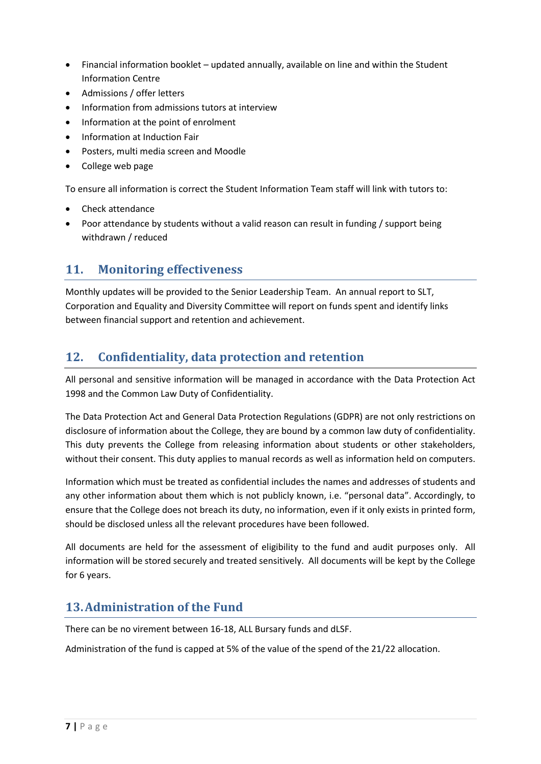- Financial information booklet updated annually, available on line and within the Student Information Centre
- Admissions / offer letters
- Information from admissions tutors at interview
- Information at the point of enrolment
- Information at Induction Fair
- Posters, multi media screen and Moodle
- College web page

To ensure all information is correct the Student Information Team staff will link with tutors to:

- Check attendance
- Poor attendance by students without a valid reason can result in funding / support being withdrawn / reduced

## <span id="page-6-0"></span>**11. Monitoring effectiveness**

Monthly updates will be provided to the Senior Leadership Team. An annual report to SLT, Corporation and Equality and Diversity Committee will report on funds spent and identify links between financial support and retention and achievement.

## <span id="page-6-1"></span>**12. Confidentiality, data protection and retention**

All personal and sensitive information will be managed in accordance with the Data Protection Act 1998 and the Common Law Duty of Confidentiality.

The Data Protection Act and General Data Protection Regulations (GDPR) are not only restrictions on disclosure of information about the College, they are bound by a common law duty of confidentiality. This duty prevents the College from releasing information about students or other stakeholders, without their consent. This duty applies to manual records as well as information held on computers.

Information which must be treated as confidential includes the names and addresses of students and any other information about them which is not publicly known, i.e. "personal data". Accordingly, to ensure that the College does not breach its duty, no information, even if it only exists in printed form, should be disclosed unless all the relevant procedures have been followed.

All documents are held for the assessment of eligibility to the fund and audit purposes only. All information will be stored securely and treated sensitively. All documents will be kept by the College for 6 years.

## <span id="page-6-2"></span>**13.Administration of the Fund**

There can be no virement between 16-18, ALL Bursary funds and dLSF.

Administration of the fund is capped at 5% of the value of the spend of the 21/22 allocation.